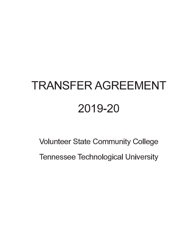# **TRANSFER AGREEMENT** 2019-20

**Volunteer State Community College Tennessee Technological University**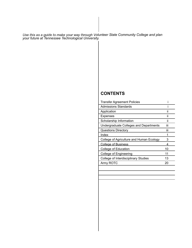Use this as a guide to make your way through Volunteer State Community College and plan *your future at Tennessee Technological University.*

# **CONTENTS**

| <b>Transfer Agreement Policies</b>       |     |  |
|------------------------------------------|-----|--|
| Admissions Standards                     |     |  |
| Application                              | ii  |  |
| Expenses                                 | ii  |  |
| Scholarship Information                  | ii  |  |
| Undergraduate Colleges and Departments   | iii |  |
| <b>Questions Directory</b>               | iii |  |
| Index                                    | 1   |  |
| College of Agriculture and Human Ecology | 3   |  |
| <b>College of Business</b>               | 4   |  |
| College of Education                     | 10  |  |
| College of Engineering                   | 11  |  |
| College of Interdisciplinary Studies     | 13  |  |
| Army ROTC                                | 20  |  |
|                                          |     |  |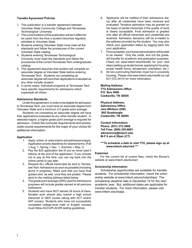#### **Transfer Agreement Policies**

- 1. This publication is a transfer agreement between Volunteer State Community College and Tennessee Technological University.
- 2. The current edition of this publication will be in effect for six years from the time a student becomes regularly admitted to Volunteer State.
- 3. Students entering Volunteer State must meet all the standards and follow the procedures of the current Volunteer State catalog.
- 4. Students entering Tennessee Technological University must meet the standards and follow the procedures of the current Tennessee Tech undergraduate catalog.
- 5. This agreement assumes that student will complete an associate degree at Volunteer State before entering Tennessee Tech. Students not completing an associate degree will have their applications evaluated as any other transfer student.
- 6. In some cases, individual programs at Tennessee Tech have specific requirements for admissions which supersede all others.

#### **Admissions Standards**

 Under this agreement, in order to be eligible for admission to Tennessee Tech, you must have an associate degree from Volunteer State and a minimum 2.0 grade point average.

 Students not completing an associate degree will have their applications evaluated as any other transfer student. In selected majors, a higher grade point average is required for admission. Check the curricular requirements and prerequisite course requirements for the major of your choice for additional information.

#### **Application**

- 1. Apply online at www.tntech.edu/admissions/apply. Application priority deadlines for desired terms: [Fall  $=$  Aug. 1, Spring  $=$  Dec. 1, Summer  $=$  May 1
- 2. Pay the \$25 application fee (if you've never paid it before) at the end of the application. If you choose not to pay at this time, you can log back into the online portal to pay later.
- 3. Request ALL official transcripts be sent to Tennessee Tech Admissions as soon as possible (including terms in progress). Make sure that you have final grades sent, as well, once they are posted. Please send to the mailing address listed below.
- 4. The grade point average (GPA) used for Admissions purposes will include grades earned at all previous institutions.
- 5. Students who have NOT earned 24 hours of transferrable work should also submit a high school transcript or GED scores (along with ACT and/or SAT scores). Students who have not successfully completed college-level math or English courses must follow ACCUPLACER testing guidelines.
- 6. Applicants will be notified of their admissions status after all credentials have been received and evaluated. Tentative admission may be granted on the basis of partial transcripts if the quality of work is clearly acceptable. Final admission is granted only after all official transcripts and credentials are received. Admission decisions will be e-mailed to the address provided by the student. You may also check your application status by logging back into your application.
- 7. Once accepted, your transcript evaluation will be able to be viewed. Only the credit, and not the grade, will transfer for academic and graduation purposes. Check out www.tntech.edu/transfer for your next steps (setting up student email, applying for housing, proper health forms, advisement, orientation, etc.)
- 8. All non-commuting freshmen must live in university housing. Please visit www.tntech.edu/reslife (or call 931-372-3414) for more information.

**Mailing Address: TTU Admissions Office P.O. Box 5006 Cookeville, TN 38505**

**Physical Address: Admissions Office Jere Whitson (208) 805 Quadrangle Cookeville, TN 38505**

**Contact Information: Phone: (931) 372-3888 Toll Free: (800) 255-8881 admissions@tntech.edu M-F 8 am-4:30pm (CT)** 

**\*\*\*To schedule a date to visit TTU, please sign up at www.tntech.edu/visit.\*\*\***

#### **Expenses**

For the current list of current fees, check the Bursar's website at www.tntech.edu/bursar/

#### **Scholarship Information**

Scholarship opportunities are available for transfer students. For scholarship information, check the scholarship website at www.tntech.edu/scholarships/ The scholarship deadline date is December 15 for the next academic year. But, additional dates are applicable for transfer students. For more information, please visit www.tntech.edu/tsapp.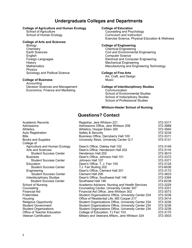# Undergraduate Colleges and Departments

# **College of Agriculture and Human Ecology College of Education**<br>Counseling and Psy

School of Agriculture Counseling and Psychology<br>
School of Human Ecology<br>
Curriculum and Instruction

#### **College of Arts and Sciences**

 Biology **College of Engineering** Chemistry Chemical Engineering<br>
Earth Sciences **Chemical Engineering**<br>
Civil and Environmenta English Computer Science<br>
Foreign Languages<br>
Flectrical and Com History<br>
Mathematics<br>
Mathematics<br>
Mathematics<br>
Mathematics Physics Sociology and Political Science **College of Fine Arts** 

#### **College of Business**

Accounting<br>Decision Sciences and Management Economics, Finance and Marketing *Communication* 

Curriculum and Instruction Exercise Science, Physical Education & Wellness

Earth Sciences<br>
English Civil and Environmental Engineering<br>
Computer Science **Electrical and Computer Engineering** Manufacturing and Engineering Technology

Art, Craft, and Design

#### **College of Interdisciplinary Studies**

School of Environmental Studies School of Indisciplinary Studies School of Professional Studies

#### **Whitson-Hester School of Nursing**

# **Questions? Contact**

| Academic Records              | Registrar, Jere Whitson 221                         | 372-3317 |
|-------------------------------|-----------------------------------------------------|----------|
| Admissions                    | Admissions Office, Jere Whitson 208                 | 372-3888 |
| <b>Athletics</b>              | Athletics, Hooper Eblen 300                         | 372-3940 |
| <b>Auto Registration</b>      | Safety & Security                                   | 372-3234 |
| <b>Bills</b>                  | Business Office, Derryberry Hall 100                | 372-3311 |
| <b>Books and Supplies</b>     | University Store, University Center G-7             | 372-3131 |
| College of                    |                                                     |          |
| Agriculture and Human Ecology | Dean's Office, Oakley Hall 102                      | 372-3149 |
| Arts and Sciences             | Dean's Office, Henderson Hall 202                   | 372-3118 |
| <b>Student Success Center</b> | Henderson Hall 202                                  | 372-3610 |
| <b>Business</b>               | Dean's Office, Johnson Hall 101                     | 372-3372 |
| <b>Student Success Center</b> | Johnson Hall 107                                    | 372-3371 |
| Education                     | Dean's Office, T. J. Farr 100                       | 372-3124 |
| <b>Student Success Center</b> | T.J. Farr Builing 202                               | 372-6036 |
| Engineering                   | Dean's Office, Clement Hall 201                     | 372-3172 |
| <b>Student Success Center</b> | Clement Hall 206                                    | 372-3833 |
| Interdisciplinary Studies     | Dean's Office, Southwest Hall 146                   | 372-3394 |
| <b>Student Success Center</b> | Southwest Hall 146                                  | 372-6238 |
| School of Nursing             | Academic Advisors, Nursing and Health Services      | 372-3229 |
| Counseling                    | Counseling Center, University Center 307            | 372-3331 |
| Financial Aid                 | Financial Aid Office, Jere Whitson 302              | 372-3073 |
| <b>Fraternities</b>           | Student Organizations Office, University Center 234 | 372-3236 |
| Housing                       | Office of Residential Life, MS Cooper 217           | 372-3414 |
| <b>Religious Opportunity</b>  | Student Organizations Office, University Center 234 | 372-3236 |
| <b>Student Government</b>     | Student Organizations Office, University Center 234 | 372-3236 |
| <b>Student Organizations</b>  | Student Organizations Office, University Center 234 | 372-3236 |
| Office of Teacher Education   | College of Education, TJ Farr 103                   | 372-3170 |
| <b>Veteran Certification</b>  | Military and Veterans Affairs, Jere Whitson 324     | 372-3503 |
|                               |                                                     |          |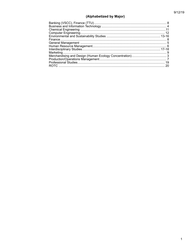# (Alphabetized by Major)

| 20 |
|----|
|    |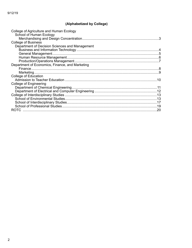# (Alphabetized by College)

| College of Agriculture and Human Ecology<br>School of Human Ecology |     |
|---------------------------------------------------------------------|-----|
| <b>College of Business</b>                                          |     |
| Department of Decision Sciences and Management                      |     |
|                                                                     |     |
|                                                                     |     |
|                                                                     |     |
|                                                                     |     |
| Department of Economics, Finance, and Marketing                     |     |
|                                                                     |     |
|                                                                     |     |
| <b>College of Education</b>                                         |     |
|                                                                     |     |
| College of Engineering                                              |     |
|                                                                     |     |
|                                                                     |     |
|                                                                     |     |
|                                                                     |     |
|                                                                     |     |
|                                                                     |     |
| <b>ROTC</b>                                                         | .20 |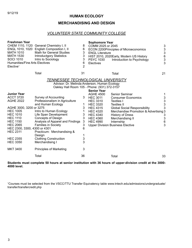#### 9/12/19

#### **HUMAN ECOLOGY**

#### **MERCHANDISING AND DESIGN**

## *VOLUNTEER STATE COMMUNITY COLLEGE*

| <b>Freshman Year</b><br>MATH 1010<br><b>MATH 1530</b><br><b>SOCI 1010</b><br><b>Humanities/Fine Arts Electives</b><br>Elective <sup>1</sup>                                                                       | CHEM 1110, 1120 General Chemistry I, II<br>ENGL 1010, 1020 English Composition I, II<br><b>Math for General Studies</b><br><b>Introductgory Statistics</b><br>Intro to Sociology                                                                            | 8<br>6<br>3<br>3<br>3<br>6<br>$\overline{2}$ | <b>Sophomore Year</b><br>COMM 2025 or 2045<br><b>ENGL Literature</b><br><b>PSYC 1030</b><br>Electives                                                | <b>ECON 2200Principles of Microeconomics</b><br>HIST 2010, 2020Early, Modern US History<br>Introduction to Psychology                                                                                                                                 | $\sqrt{3}$<br>$\begin{array}{c} 3 \\ 3 \\ 6 \\ 3 \end{array}$                 |  |  |
|-------------------------------------------------------------------------------------------------------------------------------------------------------------------------------------------------------------------|-------------------------------------------------------------------------------------------------------------------------------------------------------------------------------------------------------------------------------------------------------------|----------------------------------------------|------------------------------------------------------------------------------------------------------------------------------------------------------|-------------------------------------------------------------------------------------------------------------------------------------------------------------------------------------------------------------------------------------------------------|-------------------------------------------------------------------------------|--|--|
|                                                                                                                                                                                                                   | Total                                                                                                                                                                                                                                                       | 31                                           |                                                                                                                                                      | Total                                                                                                                                                                                                                                                 | 21                                                                            |  |  |
|                                                                                                                                                                                                                   | <u>TENNESSEE TECHNOLOGICAL UNIVERSITY</u><br>Advisor: Dr. Melinda Anderson, Human Ecology<br>Oakley Hall Room 105 - Phone: (931) 372-3157<br><b>Senior Year</b>                                                                                             |                                              |                                                                                                                                                      |                                                                                                                                                                                                                                                       |                                                                               |  |  |
| <b>Junior Year</b>                                                                                                                                                                                                |                                                                                                                                                                                                                                                             | 3                                            | <b>AGHE 4500</b>                                                                                                                                     | Senior Seminar                                                                                                                                                                                                                                        |                                                                               |  |  |
| <b>ACCT 3720</b><br><b>AGHE 2022</b><br>AGHE 3000, 3200 or 3275<br><b>HEC 1005</b><br><b>HEC 1010</b><br><b>HEC 1110</b><br><b>HEC 1150</b><br><b>HEC 2065</b><br>HEC 2300, 3300, 4300 or 4301<br><b>HEC 2311</b> | Survey of Accounting<br>Professionalism in Agriculture<br>and Human Ecology<br>Intro to Human Ecology<br>Life Span Development<br><b>Concepts of Design</b><br>Analysis of Apparel and Findings<br><b>Families in Society</b><br>Practicum: Merchandising & | 1<br>3<br>1<br>3<br>3<br>3<br>3<br>6         | <b>HEC 3011</b><br><b>HEC 3310</b><br><b>HEC 3320</b><br><b>HEC 4315</b><br><b>HEC 4320</b><br><b>HEC 4340</b><br><b>HEC 4360</b><br><b>HEC 4990</b> | <b>Consumer Economics</b><br>Textiles I<br><b>Textiles II</b><br><b>Global Social Responsibility</b><br>Merchandise Promotion & Advertising 3<br><b>History of Dress</b><br>Merchandising II<br>Internship<br><b>Upper Division Business Elective</b> | 3<br>$\mathfrak{S}$<br>3<br>3<br>3<br>$\mathfrak{S}$<br>$\boldsymbol{6}$<br>3 |  |  |
| <b>HEC 2355</b><br><b>HEC 3350</b>                                                                                                                                                                                | Design<br><b>Clothing Construction</b><br>Merchandising I                                                                                                                                                                                                   | 1<br>3<br>3                                  |                                                                                                                                                      |                                                                                                                                                                                                                                                       |                                                                               |  |  |
| <b>MKT 3400</b>                                                                                                                                                                                                   | <b>Principles of Marketing</b>                                                                                                                                                                                                                              | 3                                            |                                                                                                                                                      |                                                                                                                                                                                                                                                       |                                                                               |  |  |
|                                                                                                                                                                                                                   | Total                                                                                                                                                                                                                                                       | 36                                           |                                                                                                                                                      | Total                                                                                                                                                                                                                                                 | 33                                                                            |  |  |

#### **Students must complete 50 hours at senior institution with 36 hours of upper-division credit at the 3000- 4000 level.**

<sup>1</sup>Courses must be selected from the VSCC/TTU Transfer Equivalency table www.tntech.edu/admissions/undergraduate/ transfer/transfercredit.php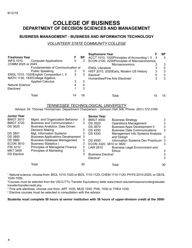# **COLLEGE OF BUSINESS DEPARTMENT OF DECISION SCIENCES AND MANAGEMENT**

#### **BUSINESS MANAGEMENT - BUSINESS AND INFORMATION TECHNOLOGY**

#### *VOLUNTEER STATE COMMUNITY COLLEGE*

|                                                  |    |           | <b>Sophomore Year</b>                           |    | SP |
|--------------------------------------------------|----|-----------|-------------------------------------------------|----|----|
| <b>Freshman Year</b>                             | F. | <b>SP</b> | ACCT 1010, 1020Principles of Accounting I, II 3 |    | 3  |
| <b>INFS 1010</b><br><b>Computer Applications</b> | 0  | 3         | ECON 2100, 2200Principles of Macroeconomics,    |    |    |
| COMM 2025 or 2045                                |    |           | <b>Microeconomics</b>                           |    | 3  |
| Fundamentals of Communication or                 |    |           | <b>ENGL Literature</b>                          |    | 0  |
| <b>Public Speaking</b>                           | 3  | 0         | HIST 2010, 2020 Early, Modern US History        | 3  |    |
| ENGL 1010, 1020English Composition I, II         | 3  | 3         | Elective <sup>2</sup>                           |    | 3  |
| MATH 1130, 1830College Algebra;                  |    |           | Humanities/Fine Arts Electives <sup>3</sup>     |    | 3  |
| <b>Applied Calculus</b>                          | 3  | 3         |                                                 |    |    |
| Natural Science <sup>1</sup>                     |    |           |                                                 |    |    |
| Electives <sup>2</sup>                           |    | 3         |                                                 |    |    |
| Total                                            |    | 16        | Total                                           | 15 | 15 |

#### *TENNESSEE TECHNOLOGICAL UNIVERSITY*

Advisor: Dr. Thomas Timmerman, Department Chairperson - Johnson Hall 306, Phone: (931) 372-3160

| <b>Junior Year</b> |                                            |    | <b>Senior Year</b>                   |                                       |    |
|--------------------|--------------------------------------------|----|--------------------------------------|---------------------------------------|----|
| <b>BMGT 3510</b>   | Mgmt. and Organization Behavior            | 3  | <b>BMGT 4930</b>                     | <b>Business Strategy</b>              | 3. |
| <b>BMGT 3720</b>   | <b>Business and Communication I</b>        | 3  | <b>DS 3520</b>                       | <b>Operations Management</b>          | 3  |
| <b>DS 3620</b>     | <b>Business Analytics: Data Driven</b>     |    | <b>DS 3870</b>                       | <b>Business Apps Development II</b>   | 3  |
|                    | Decision Making                            | 3  | <b>DS 4250</b>                       | <b>Business Data Communications</b>   | 3  |
| <b>DS 3841</b>     | Mgt. Information Systems                   | 3  | DS 4330                              | Management Info Systems Analysis      |    |
| <b>DS 3850</b>     | <b>Business Applications Development 3</b> |    |                                      | and Design                            | 3  |
| <b>DS 3860</b>     | <b>Business Database Management</b>        | 3  | DS 4550                              | Information Systems Dev Practicum 3   |    |
| <b>ECON 3610</b>   | <b>Business Statistics I</b>               | 3  | ECON 3320, 3810 or 3820              |                                       | 3  |
| <b>FIN 3210</b>    | <b>Principles of Managerial Finance</b>    | 3  | LAW 2810                             | <b>Business Legal Environment and</b> |    |
| <b>MKT 3400</b>    | <b>Principles of Marketing</b>             | 3  |                                      | <b>Ethics</b>                         | 3  |
| <b>DS Elective</b> |                                            |    | <b>Business Elective<sup>4</sup></b> |                                       | 3  |
|                    |                                            |    | Elective <sup>4</sup>                |                                       | 3  |
|                    | Total                                      | 30 |                                      | Total                                 | 30 |

<sup>1</sup> Natural science, choose from: BIOL 1010-1020 or BIOL 1110-1120; CHEM 1110-1120; PHYS 2010-2020; or GEOL 1040-1050.

<sup>2</sup>Courses must be selected from the VSCC/TTU Transfer Equivalency table www.tntech.edu/admissions/undergraduate/ transfer/transfercredit.php

3 Fine arts electives, choose one from: ART 1035, MUS 1030, PHIL 1030 or THEA 1030.

<sup>4</sup> Elective courses must be selected in consultation with the advisor.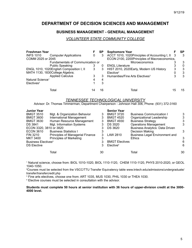# **DEPARTMENT OF DECISION SCIENCES AND MANAGEMENT**

#### **BUSINESS MANAGEMENT - GENERAL MANAGEMENT**

#### *VOLUNTEER STATE COMMUNITY COLLEGE*

| <b>Freshman Year</b>         |                                          |   | SP | <b>Sophomore Year</b>                           |    | SP |
|------------------------------|------------------------------------------|---|----|-------------------------------------------------|----|----|
| <b>INFS 1010</b>             | <b>Computer Applications</b>             | 0 | 3  | ACCT 1010, 1020Principles of Accounting I, II 3 |    | 3  |
| COMM 2025 or 2045            |                                          |   |    | ECON 2100, 2200Principles of Macroeconomics,    |    |    |
|                              | Fundamentals of Communication or         |   |    | Microeconomics                                  |    | 3  |
|                              | <b>Public Speaking</b>                   |   | 0  | <b>ENGL Literature</b>                          |    | 0  |
|                              | ENGL 1010, 1020English Composition I, II | 3 | 3  | HIST 2010, 2020 Early, Modern US History        | 3  | 3  |
|                              | MATH 1130, 1830College Algebra;          |   |    | Elective <sup>2</sup>                           | 0  | 3  |
|                              | <b>Applied Calculus</b>                  |   | 3  | Humanities/Fine Arts Electives <sup>3</sup>     | 3  | 3  |
| Natural Science <sup>1</sup> |                                          |   | 4  |                                                 |    |    |
| Electives <sup>2</sup>       |                                          |   | 3  |                                                 |    |    |
|                              | Total                                    |   | 16 | Total                                           | 15 | 15 |

#### *TENNESSEE TECHNOLOGICAL UNIVERSITY*

Advisor: Dr. Thomas Timmerman, Department Chairperson - Johnson Hall 306, Phone: (931) 372-3160

| <b>Junior Year</b>                    |                                  |    | <b>Senior Year</b>    |                                        |    |
|---------------------------------------|----------------------------------|----|-----------------------|----------------------------------------|----|
| <b>BMGT 3510</b>                      | Mgt. & Organization Behavior     | 3  | <b>BMGT 3720</b>      | <b>Business Communication I</b>        | 3  |
| <b>BMGT 3600</b>                      | <b>International Management</b>  | 3  | <b>BMGT 4520</b>      | Organizational Leadership              | 3  |
| <b>BMGT 3630</b>                      | Human Resource Management        | 3  | <b>BMGT 4930</b>      | <b>Business Strategy</b>               |    |
| DS 3841                               | Mgt. Information Systems         | 3  | <b>DS 3520</b>        | <b>Operations Management</b>           | 3  |
| ECON 3320, 3810 or 3820               |                                  | 3  | <b>DS 3620</b>        | <b>Business Analytics: Data Driven</b> |    |
| <b>ECON 3610</b>                      | <b>Business Statistics I</b>     |    |                       | Decision Making                        | 3  |
| <b>FIN 3210</b>                       | Principles of Managerial Finance |    | LAW 2810              | <b>Business Legal Environment and</b>  |    |
| <b>MKT 3400</b>                       | <b>Principles of Marketing</b>   |    |                       | <b>Ethics</b>                          | 3  |
| <b>Business Electives<sup>4</sup></b> |                                  |    | <b>BMGT Electives</b> |                                        | 6  |
| <b>DS Elective</b>                    |                                  |    | Elective <sup>4</sup> |                                        | 6  |
|                                       | Total                            | 30 |                       | Total                                  | 30 |
|                                       |                                  |    |                       |                                        |    |

<sup>1</sup> Natural science, choose from: BIOL 1010-1020, BIOL 1110-1120, CHEM 1110-1120, PHYS 2010-2020, or GEOL 1040-1050.

<sup>2</sup>Courses must be selected from the VSCC/TTU Transfer Equivalency table www.tntech.edu/admissions/undergraduate/ transfer/transfercredit.php

3 Fine arts electives, choose one from: ART 1035, MUS 1030, PHIL 1030 or THEA 1030.

<sup>4</sup> Elective courses must be selected in consultation with the advisor.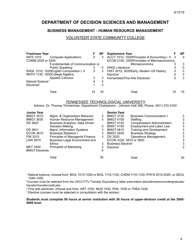# **DEPARTMENT OF DECISION SCIENCES AND MANAGEMENT**

#### **BUSINESS MANAGEMENT - HUMAN RESOURCE MANAGEMENT**

#### *VOLUNTEER STATE COMMUNITY COLLEGE*

| <b>Freshman Year</b>         |                                          | F. | <b>SP</b> | <b>Sophomore Year</b>                         |    | SP |
|------------------------------|------------------------------------------|----|-----------|-----------------------------------------------|----|----|
| <b>INFS 1010</b>             | <b>Computer Applications</b>             | 0  | 3         | ACCT 1010, 1020Principles of Accounting I, II |    | 3  |
| COMM 2025 or 2045            |                                          |    |           | ECON 2100, 2200Principles of Macroeconomics,  |    |    |
|                              | Fundamentals of Communication or         |    |           | Microeconomics                                |    | 3  |
|                              | <b>Public Speaking</b>                   |    | $\Omega$  | <b>ENGL Literature</b>                        |    | 0  |
|                              | ENGL 1010, 1020English Composition I, II | 3  | 3         | HIST 2010, 2020Early, Modern US History       | 3  | 3  |
|                              | MATH 1130, 1830College Algebra;          |    |           | Elective <sup>2</sup>                         |    | 3  |
|                              | <b>Applied Calculus</b>                  | 3  | 3         | Humanities/Fine Arts Electives <sup>3</sup>   |    | 3  |
| Natural Science <sup>1</sup> |                                          | 4  | 4         |                                               |    |    |
| Electives <sup>2</sup>       |                                          |    | 3         |                                               |    |    |
|                              | Total                                    |    | 16        | Total                                         | 15 | 15 |

#### *TENNESSEE TECHNOLOGICAL UNIVERSITY*

Advisor: Dr. Thomas Timmerman, Department Chairperson - Johnson Hall 306, Phone: (931) 372-3160

| <b>Junior Year</b>    |                                        |    | <b>Senior Year</b>                   |                                    |    |
|-----------------------|----------------------------------------|----|--------------------------------------|------------------------------------|----|
| <b>BMGT 3510</b>      | Mgmt. & Organization Behavior          | 3  | <b>BMGT 3720</b>                     | <b>Business Communication I</b>    | 3  |
| <b>BMGT 3630</b>      | Human Resource Management              | 3  | <b>BMGT 4100</b>                     | Staffing                           | 3  |
| DS 3620               | <b>Business Analytics: Data Driven</b> |    | <b>BMGT 4120</b>                     | <b>Compensation Administration</b> |    |
|                       | Decision Making                        | 3  | <b>BMGT 4150</b>                     | <b>Employment and Labor Law</b>    | 3  |
| <b>DS 3841</b>        | Mgmt. Information Systems              |    | <b>BMGT 4610</b>                     | <b>Training and Development</b>    | 3  |
| <b>ECON 3610</b>      | <b>Business Statistics I</b>           | 3  | <b>BMGT 4930</b>                     | <b>Business Strategy</b>           |    |
| <b>FIN 3210</b>       | Principles of Managerial Finance       | 3  | <b>DS 3520</b>                       | <b>Operations Management</b>       | 3  |
| LAW 2810              | <b>Business Legal Environment and</b>  |    | ECON 3320, 3810 or 3820              |                                    |    |
|                       | <b>Ethics</b>                          | 3  | <b>Business Elective<sup>4</sup></b> |                                    |    |
| <b>MKT 3400</b>       | <b>Principles of Marketing</b>         |    | Elective <sup>4</sup>                |                                    | 3  |
| <b>BMGT Electives</b> |                                        | 6  |                                      |                                    |    |
|                       | Total                                  | 30 |                                      | Total                              | 30 |

<sup>1</sup> Natural science, choose from: BIOL 1010-1020 or BIOL 1110-1120, CHEM 1110-1120, PHYS 2010-2020, or GEOL 1040-1050.

<sup>2</sup>Courses must be selected from the VSCC/TTU Transfer Equivalency table www.tntech.edu/admissions/undergraduate/ transfer/transfercredit.php

3 Fine arts electives, choose one from: ART 1035, MUS 1030, PHIL 1030 or THEA 1030.

<sup>4</sup> Elective courses must be selected in consultation with the advisor.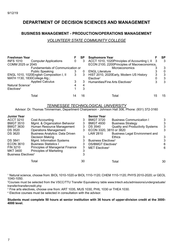# **DEPARTMENT OF DECISION SCIENCES AND MANAGEMENT**

#### **BUSINESS MANAGEMENT - PRODUCTION/OPERATIONS MANAGEMENT**

#### *VOLUNTEER STATE COMMUNITY COLLEGE*

| <b>Freshman Year</b>         |                                          | F | SP | <b>Sophomore Year</b>                         | SP |
|------------------------------|------------------------------------------|---|----|-----------------------------------------------|----|
| <b>INFS 1010</b>             | <b>Computer Applications</b>             | 0 |    | ACCT 1010, 1020Principles of Accounting I, II |    |
| COMM 2025 or 2045            |                                          |   |    | ECON 2100, 2200Principles of Macroeconomics,  |    |
|                              | Fundamentals of Communication or         |   |    | <b>Microeconomics</b>                         | 3  |
|                              | <b>Public Speaking</b>                   |   |    | <b>ENGL Literature</b>                        | 0  |
|                              | ENGL 1010, 1020English Composition I, II | 3 | 3  | HIST 2010, 2020Early, Modern US History       | 3  |
| MATH 1130, 1830College Alg.; |                                          |   |    | Elective <sup>2</sup>                         | 3  |
|                              | <b>Applied Calculus</b>                  |   |    | Humanities/Fine Arts Electives <sup>3</sup>   | 3  |
| Natural Science <sup>1</sup> |                                          |   | 4  |                                               |    |
| Electives <sup>2</sup>       |                                          |   | 3  |                                               |    |
|                              | Total                                    |   | 16 | Total                                         | 15 |

#### *TENNESSEE TECHNOLOGICAL UNIVERSITY*

Advisor: Dr. Thomas Timmerman, Department Chairperson - Johnson Hall 306, Phone: (931) 372-3160

| <b>Junior Year</b>                    |                                        |    | <b>Senior Year</b>                   |                                         |    |
|---------------------------------------|----------------------------------------|----|--------------------------------------|-----------------------------------------|----|
| <b>ACCT 3210</b>                      | Cost Accounting                        | 3  | <b>BMGT 3720</b>                     | <b>Business Communication I</b>         | 3  |
| <b>BMGT 3510</b>                      | Mgmt. & Organization Behavior          | 3  | <b>BMGT 4930</b>                     | <b>Business Strategy</b>                | 3  |
| <b>BMGT 3630</b>                      | Human Resource Management              | 3  | DS 3540                              | <b>Quality and Productivity Systems</b> | 3  |
| <b>DS 3520</b>                        | <b>Operations Management</b>           | 3  | ECON 3320, 3810 or 3820              |                                         | 3  |
| <b>DS 3620</b>                        | <b>Business Analytics: Data Driven</b> |    | LAW 2810                             | <b>Business Legal Environment and</b>   |    |
|                                       | Decision Making                        |    |                                      | <b>Ethics</b>                           | 3  |
| <b>DS 3841</b>                        | Mgmt. Information Systems              |    | Business Electives <sup>4</sup>      |                                         | 3  |
| <b>ECON 3610</b>                      | <b>Business Statistics I</b>           |    | <b>DS/BMGT Electives<sup>4</sup></b> |                                         | 6  |
| <b>FIN 3210</b>                       | Principles of Managerial Finance       | 3  | <b>MET Electives<sup>4</sup></b>     |                                         | 6  |
| MKT 3400                              | <b>Principles of Marketing</b>         | 3  |                                      |                                         |    |
| <b>Business Electives<sup>4</sup></b> |                                        |    |                                      |                                         |    |
|                                       | Total                                  | 30 |                                      | Total                                   | 30 |

<sup>1</sup> Natural science, choose from: BIOL 1010-1020 or BIOL 1110-1120; CHEM 1110-1120; PHYS 2010-2020; or GEOL 1040-1050.

<sup>2</sup>Courses must be selected from the VSCC/TTU Transfer Equivalency table www.tntech.edu/admissions/undergraduate/ transfer/transfercredit.php

3 Fine arts electives, choose one from: ART 1035, MUS 1030, PHIL 1030 or THEA 1030.

<sup>4</sup> Elective courses must be selected in consultation with the advisor.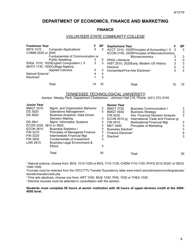# **DEPARTMENT OF ECONOMICS, FINANCE AND MARKETING**

#### **FINANCE**

#### *VOLUNTEER STATE COMMUNITY COLLEGE*

| <b>Freshman Year</b>                             |    | <b>SP</b> | <b>Sophomore Year</b>                                                                  |    | SP |
|--------------------------------------------------|----|-----------|----------------------------------------------------------------------------------------|----|----|
| <b>INFS 1010</b><br><b>Computer Applications</b> | 0  | 3         | ACCT 1010, 1020Principles of Accounting I, II                                          | -3 | 3  |
| COMM 2025 or 2045                                |    |           | ECON 2100, 2200Principles of Macroeconomics,                                           |    |    |
| Fundumentals of Communication or                 |    |           | <b>Microeconomics</b>                                                                  |    | 3  |
| <b>Public Speaking</b>                           | 3  | 0         | <b>ENGL Literature</b>                                                                 |    | 0  |
| ENGL 1010, 1020English Composition I, II         | 3  | 3         | HIST 2010, 2020Early, Modern US History                                                | 3  | 3  |
| MATH 1130, 1830College Algebra;                  |    |           | Elective <sup>2</sup>                                                                  | 0  | 3  |
| <b>Applied Calculus</b>                          | 3  | 3         | Humanities/Fine Arts Electives <sup>3</sup>                                            | 3  | 3  |
| Natural Science <sup>1</sup>                     | 4  | 4         |                                                                                        |    |    |
| Electives <sup>2</sup>                           |    | 3         |                                                                                        |    |    |
| Total                                            | 14 | 16        | Total                                                                                  | 15 | 15 |
|                                                  |    |           | <b>TENNESSEE TECHNOLOGICAL UNIVERSITY</b>                                              |    |    |
|                                                  |    |           | Advisor: Wesley Pech, Department Chairperson - Johnson Hall 216, Phone: (931) 372-3745 |    |    |

| <b>Junior Year</b><br><b>BMGT 3510</b><br><b>DS 3520</b><br><b>DS 3620</b><br><b>DS 3841</b><br>ECON 3320, 3810 or 3820<br><b>ECON 3610</b> | Mgmt. and Organization Behavior<br><b>Operations Management</b><br><b>Business Analytics: Data Driven</b><br>Decision Making<br>Mgmt. Information Systems<br><b>Business Statistics I</b> | 3<br>3<br>3<br>3<br>3 | <b>Senior Year</b><br><b>BMGT 3720</b><br><b>BMGT 4930</b><br>FIN 4230<br>ECON 4510 or<br><b>FIN 4910</b><br><b>MKT 3400</b><br>Business Elective <sup>4</sup> | <b>Business Communication I</b><br><b>Business Strategy</b><br>Adv. Financial Decision Analysis<br>International Trade and Finance or<br>Multinational Financial Mgt.<br><b>Principles of Marketing</b> | 3<br>3<br>3<br>3<br>3 |
|---------------------------------------------------------------------------------------------------------------------------------------------|-------------------------------------------------------------------------------------------------------------------------------------------------------------------------------------------|-----------------------|----------------------------------------------------------------------------------------------------------------------------------------------------------------|---------------------------------------------------------------------------------------------------------------------------------------------------------------------------------------------------------|-----------------------|
| FIN 3210<br><b>FIN 3220</b><br><b>FIN 3830</b><br>LAW 2810                                                                                  | <b>Principles of Managerial Finance</b><br>Intermediate Financial Mgt.<br>Fundamentals of Investment<br><b>Business Legal Environment &amp;</b><br><b>Ethics</b>                          | 3<br>3<br>3           | Finance Electives <sup>4</sup><br>Elective <sup>4</sup>                                                                                                        |                                                                                                                                                                                                         | 9<br>3                |
|                                                                                                                                             | Total                                                                                                                                                                                     | 30                    |                                                                                                                                                                | Total                                                                                                                                                                                                   | 30                    |

<sup>1</sup> Natural science, choose from: BIOL 1010-1020 or BIOL 1110-1120; CHEM 1110-1120; PHYS 2010-2020: or GEOL 1040-1050.

<sup>2</sup>Courses must be selected from the VSCC/TTU Transfer Equivalency table www.tntech.edu/admissions/undergraduate/ transfer/transfercredit.php

3 Fine arts electives, choose one from: ART 1035, MUS 1030, PHIL 1030 or THEA 1030.

<sup>4</sup> Elective courses must be selected in consultation with the advisor.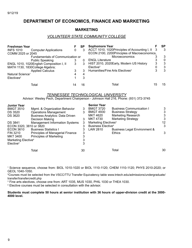# **DEPARTMENT OF ECONOMICS, FINANCE AND MARKETING**

#### **MARKETING**

#### *VOLUNTEER STATE COMMUNITY COLLEGE*

| <b>Freshman Year</b>         |                                          |   | <b>SP</b> | <b>Sophomore Year</b>                           |    | SP |
|------------------------------|------------------------------------------|---|-----------|-------------------------------------------------|----|----|
| <b>INFS 1010</b>             | <b>Computer Applications</b>             | 0 | 3         | ACCT 1010, 1020Principles of Accounting I, II 3 |    | 3  |
| COMM 2025 or 2045            |                                          |   |           | ECON 2100, 2200Principles of Macroeconomics,    |    |    |
|                              | Fundamentals of Communication or         |   |           | <b>Microeconomics</b>                           |    | 3  |
|                              | <b>Public Speaking</b>                   |   |           | <b>ENGL Literature</b>                          |    | 0  |
|                              | ENGL 1010, 1020English Composition I, II | 3 | 3         | HIST 2010, 2020Early, Modern US History         | 3  | 3  |
|                              | MATH 1130, 1830College Algebra;          |   |           | Elective <sup>2</sup>                           |    | 3  |
|                              | <b>Applied Calculus</b>                  | 3 | 3         | Humanities/Fine Arts Electives <sup>3</sup>     |    | 3  |
| Natural Science <sup>1</sup> |                                          |   | 4         |                                                 |    |    |
| Electives <sup>2</sup>       |                                          |   | 3         |                                                 |    |    |
|                              | Total                                    |   | 16        | Total                                           | 15 | 15 |

#### *TENNESSEE TECHNOLOGICAL UNIVERSITY*

Advisor: Wesley Pech, Department Chairperson - Johnson Hall 216, Phone: (931) 372-3745

| <b>Junior Year</b>              |                                        |    | <b>Senior Year</b>                   |                                 |    |
|---------------------------------|----------------------------------------|----|--------------------------------------|---------------------------------|----|
| <b>BMGT 3510</b>                | Mgmt. & Organization Behavior          | 3  | <b>BMGT 3720</b>                     | <b>Business Communication I</b> | 3  |
| <b>DS 3520</b>                  | <b>Operations Management</b>           | 3  | <b>BMGT 4930</b>                     | <b>Business Strategy</b>        | 3  |
| <b>DS 3620</b>                  | <b>Business Analytics: Data Driven</b> |    | MKT 4620                             | <b>Marketing Research</b>       | 3  |
|                                 | Decision Making                        | 3  | MKT 4730                             | <b>Marketing Strategy</b>       | 3  |
| <b>DS 3841</b>                  | <b>Management Information Systems</b>  | 3  | Marketing Electives <sup>4</sup>     |                                 | 12 |
| ECON 3320, 3810 or 3820         |                                        | 3  | <b>Business Elective<sup>4</sup></b> |                                 | 3  |
| <b>ECON 3610</b>                | <b>Business Statistics I</b>           | 3  | LAW 2810                             | Business Legal Environment &    |    |
| <b>FIN 3210</b>                 | Principles of Managerial Finance       | 3  |                                      | <b>Ethics</b>                   | 3  |
| MKT 3400                        | <b>Principles of Marketing</b>         |    |                                      |                                 |    |
| Marketing Elective <sup>4</sup> |                                        |    |                                      |                                 |    |
| Elective <sup>4</sup>           |                                        | 3  |                                      |                                 |    |
|                                 | Total                                  | 30 |                                      | Total                           | 30 |

<sup>1</sup> Science sequence, choose from: BIOL 1010-1020 or BIOL 1110-1120; CHEM 1110-1120; PHYS 2010-2020; or GEOL 1040-1050.

<sup>2</sup>Courses must be selected from the VSCC/TTU Transfer Equivalency table www.tntech.edu/admissions/undergraduate/ transfer/transfercredit.php

3 Fine arts electives, choose one from: ART 1035, MUS 1030, PHIL 1030 or THEA 1030.

4 Elective courses must be selected in consultation with the advisor.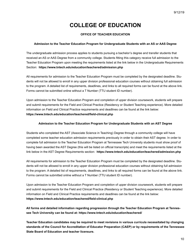# **COLLEGE OF EDUCATION**

#### **OFFICE OF TEACHER EDUCATION**

#### **Admission to the Teacher Education Program for Undergraduate Students with an AS or AAS Degree**

The undergraduate admission process applies to students pursuing a bachelor's degree and transfer students that received an AS or AAS Degree from a community college. Students fitting this category receive full admission to the Teacher Education Program upon meeting the requirements listed at the link below in the Undergraduate Requirements Section: **https://www.tntech.edu/education/teachered/admission.php**

All requirements for admission to the Teacher Education Program must be completed by the designated deadline. Students will not be allowed to enroll in any upper division professional education courses without obtaining full admission to the program. A detailed list of requirements, deadlines, and links to all required forms can be found at the above link. Forms cannot be submitted online without a T Number (TTU student ID number).

Upon admission to the Teacher Education Program and completion of upper division coursework, students will prepare and submit requirements for the Field and Clinical Practice (Residency or Student Teaching experience). More detailed information on Field and Clinical Practice requirements and deadlines can be found at the link below: https://www.tntech.edu/education/teachered/field-clinical.php

#### **Admission to the Teacher Education Program for Undergraduate Students with an AST Degree**

Students who completed the AST (Associate Science in Teaching) Degree through a community college will have completed some teacher education admission requirements previously in order to obtain their AST degree. In order to complete full admission to the Teacher Education Program at Tennessee Tech University students must show proof of having been awarded the AST Degree (this will be listed on official transcripts) and meet the requirements listed at the link below in the AST Degree Requirements section: **https://www.tntech.edu/education/teachered/admission.php**

All requirements for admission to the Teacher Education Program must be completed by the designated deadline. Students will not be allowed to enroll in any upper division professional education courses without obtaining full admission to the program. A detailed list of requirements, deadlines, and links to all required forms can be found at the above link. Forms cannot be submitted online without a T Number (TTU student ID number).

Upon admission to the Teacher Education Program and completion of upper division coursework, students will prepare and submit requirements for the Field and Clinical Practice (Residency or Student Teaching experience). More detailed information on Field and Clinical Practice requirements and deadlines can be found at the link below: https://www.tntech.edu/education/teachered/field-clinical.php

**All forms and detailed information regarding progression through the Teacher Education Program at Tennessee Tech University can be found at: https://www.tntech.edu/education/teachered/** 

**Teacher Education candidates may be required to meet revisions in various curricula necessitated by changing standards of the Council for Accreditation of Educator Preparation (CAEP) or by requirements of the Tennessee State Board of Education and teacher licensure.**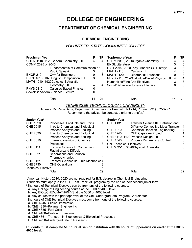# **COLLEGE OF ENGINEERING**

# **DEPARTMENT OF CHEMICAL ENGINEERING**

#### **CHEMICAL ENGINEERING**

#### *VOLUNTEER STATE COMMUNITY COLLEGE*

| <b>Freshman Year</b> |                                          |    | SP | <b>Sophomore Year</b>                                |   | SP       |
|----------------------|------------------------------------------|----|----|------------------------------------------------------|---|----------|
|                      | CHEM 1110, 1120 General Chemistry I, II  | 4  | 4  | CHEM 2010, 2020Organic Chemistry I, II               |   | 4        |
| COMM 2025 or 2045    |                                          |    |    | <b>ENGL Literature</b>                               |   | 0        |
|                      | Fundamentals of Communication or         |    |    | HIST 2010, 2020Early, Modern US History <sup>1</sup> | 3 | 3        |
|                      | <b>Public Speaking</b>                   |    | 0  | MATH 2110<br>Calculus III                            |   | $\Omega$ |
| <b>ENGR 210</b>      | C++ for Engineers                        | 0  | 3  | <b>Differential Equations</b><br>MATH 2120           |   | 3        |
|                      | ENGL 1010, 1020English Composition I, II | 3  | 3  | PHYS 2110, 2120 Calculus-Based Physics I, II         | 4 |          |
|                      | MATH 1910, 1920 Calculus & Analytic      |    |    | Humanities/Fine Arts Electives                       |   | 3        |
|                      | Geometry I, II                           | 4  | 4  | Social/Behavioral Science Elective                   |   | 3        |
| <b>PHYS 2110</b>     | Calculus-Based Physics I                 | 0  | 4  |                                                      |   |          |
|                      | Social/Behavioral Science Elective       |    | 3  |                                                      |   |          |
|                      | Total                                    | 14 |    | Total                                                |   | 20       |

#### *TENNESSEE TECHNOLOGICAL UNIVERSITY*

Advisor: Dr. Pedro Arce, Department Chairperson - Prescott Hall 214, Phone: (931) 372-3297 (Recommend the advisor be contacted prior to transfer.)

| Junior Year <sup>2</sup>        |                                        |    | <b>Senior Year</b>                   |                                      |    |
|---------------------------------|----------------------------------------|----|--------------------------------------|--------------------------------------|----|
| <b>CHE 1020</b>                 | Processes. Products and Ethics         |    | <b>CHE 4131</b>                      | Transfer Science III: Diffusion and  |    |
| <b>CHE 2015</b>                 | Intro to Chemical and Biological       |    |                                      | Diffusive-Convective Mass Transfer 4 |    |
|                                 | Process Analysis and Scaling I         | 3  | <b>CHE 4210</b>                      | <b>Chemical Reaction Engineering</b> | 4  |
| CHE 2020                        | Intro to Chemical and Biological       |    | <b>CHE 4240</b>                      | <b>CHE Capstone Project</b>          |    |
|                                 | Process Analysis and Scaling II        | 3  |                                      | CHE 4410, 4420 Process Design I, II  | 6  |
| CHE 3010                        | Thermodynamics of Chemical             |    | CHE 4540                             | Process Dynamics & Control           | 3  |
|                                 | <b>Processes</b>                       | 3  | ChE Technical Electives <sup>4</sup> |                                      | 6  |
| <b>CHE 3111</b>                 | Transfer Science I: Conduction,        |    |                                      | CHEM 3510, 3520Physical Chemistry    | 8  |
|                                 | Radiation, and Diffusion               | 4  |                                      |                                      |    |
| CHE 3021                        | Separations and Solution               |    |                                      |                                      |    |
|                                 | Thermodymanics                         |    |                                      |                                      |    |
| CHE 3121                        | Transfer Science II: Fluid Mechanics 4 |    |                                      |                                      |    |
| CHE 3730                        | <b>CHE Operations</b>                  |    |                                      |                                      |    |
| Technical Elective <sup>3</sup> |                                        | 6  |                                      |                                      |    |
|                                 | Total                                  | 29 |                                      | Total                                | 32 |

<sup>1</sup>American History 2010, 2020 are not required for B.S. degree in Chemical Engineering. <sup>2</sup>Students must apply to the CHE Fast-Track MS program by the end of their second junior term.

<sup>3</sup>Six hours of Technical Electives can be from any of the following courses:

a. Any College of Engineering course at the 3000 or 4000 level.

b. Any BIOL/CHEM/MATH/PHYS at the 3000 or 4000 level.

c. Any course with the prior approval of the ChE Undergraduate Program Coordinator.

<sup>4</sup>Six hours of ChE Technical Electives must come from one of the following courses.

- a. ChE 4245--Clinical Immersion
- b. ChE 4330--Polymer Engineering
- c. ChE 4335--Fuel Cells
- d. ChE 4400--Protein Engineering

e. ChE 4661--Transport in Biochemical & Biological Processes

f. ChE 4990--Undergraduate to Research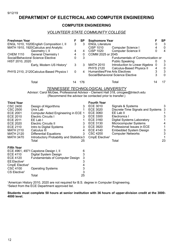# **DEPARTMENT OF ELECTRICAL AND COMPUTER ENGINEERING**

#### **COMPUTER ENGINEERING**

#### *VOLUNTEER STATE COMMUNITY COLLEGE*

| <b>Freshman Year</b> | ENGL 1010, 1020English Composition I, II                                                                   | 3 | SP<br>3 | <b>Sophomore Year</b><br><b>ENGL Literature</b>                                   |                                |        | SP<br>-3 |
|----------------------|------------------------------------------------------------------------------------------------------------|---|---------|-----------------------------------------------------------------------------------|--------------------------------|--------|----------|
|                      | MATH 1910, 1920 Calculus and Analytic<br>Geometry I, II                                                    | 4 | 4       | <b>CISP 1010</b><br>Computer Science I<br>Computer Science II<br><b>CISP 1020</b> |                                |        | 0<br>4   |
| <b>CHEM 1110</b>     | <b>General Chemistry I</b>                                                                                 | 4 | 0       | COMM 2025 or 2045                                                                 |                                |        |          |
| HIST 2010, 2020      | Social/Behavioral Science Elective<br>0<br>Fundumentals of Communication or<br>3<br><b>Public Speaking</b> |   |         |                                                                                   | 3                              |        |          |
|                      | Early, Modern US History <sup>1</sup>                                                                      | 3 | 3       | <b>MATH 2010</b>                                                                  | Introduction to Linear Algebra | 0      | 3        |
|                      | PHYS 2110, 2120 Calculus-Based Physics I                                                                   | 0 | 4       | Calculus-Based Physics II<br><b>PHYS 2120</b><br>Humanities/Fine Arts Electives   |                                | 4<br>3 | 0<br>3   |
|                      |                                                                                                            |   |         | Social/Behavioral Science Elective                                                |                                | 3      | $\Omega$ |
|                      | Total                                                                                                      |   | 176     | Total                                                                             |                                | 14     | 17       |

*TENNESSEE TECHNOLOGICAL UNIVERSITY* Advisor: Carol McGee, Professional Advisor - Clement Hall 318, cmcgee@tntech.edu (Recommend the advisor be contacted prior to transfer.)

| <b>Third Year</b>          |                                           |    | <b>Fourth Year</b>         |                                   |    |
|----------------------------|-------------------------------------------|----|----------------------------|-----------------------------------|----|
| CSC 2400                   | Design of Algorithms                      | 3  | ECE 3010                   | Signals & Systems                 | 3  |
| CSC 2500                   | Unix Lab                                  |    | ECE 3020                   | Discrete-Time Signals and Systems |    |
| ECE 2001                   | Computer Aided Engineering in ECE 1       |    | ECE 3060                   | EE Lab II                         |    |
| ECE 2010                   | <b>Electric Circuits I</b>                | 3  | ECE 3300                   | Electronics I                     |    |
| ECE 2011                   | EE Lab I                                  |    | <b>ECE 3160</b>            | Digital Systems Laboratory        |    |
| ECE 2020                   | <b>Electric Circuits II</b>               | 3  | <b>ECE 3130</b>            | Microcomputer Systems             |    |
| <b>ECE 2110</b>            | Intro to Digital Systems                  | 3  | ECE 3920                   | Professional Issues in ECE        |    |
| <b>MATH 2110</b>           | Calculus III                              | 4  | ECE 4140                   | <b>Embedded System Design</b>     | 3  |
| <b>MATH 2120</b>           | <b>Differential Equations</b>             | 3  | <b>CSC 4200</b>            | <b>Computer Networks</b>          |    |
| <b>MATH 3470</b>           | Introductory Probability and Statistics 3 |    | CmpE Elective <sup>2</sup> |                                   |    |
|                            | Total                                     | 25 |                            | Total                             | 23 |
| <b>Fifth Year</b>          |                                           |    |                            |                                   |    |
|                            | ECE 4961, 4971 Capstone Design I, II      | 6  |                            |                                   |    |
| ECE 4110                   | Digital System Design                     | 3  |                            |                                   |    |
| ECE 4120                   | <b>Fundamentals of Computer Design</b>    | 3  |                            |                                   |    |
| $EE$ Elective <sup>2</sup> |                                           | 3  |                            |                                   |    |
| CmpE Elective <sup>2</sup> |                                           |    |                            |                                   |    |
| CSC 4100                   | <b>Operating Systems</b>                  | 3  |                            |                                   |    |
| CS Elective <sup>2</sup>   |                                           | 3  |                            |                                   |    |
|                            | Total                                     | 25 |                            |                                   |    |

<sup>1</sup>American History 2010, 2020 are not required for B.S. degree in Computer Engineering. <sup>2</sup>Select from the ECE Department approved list.

**Total 25**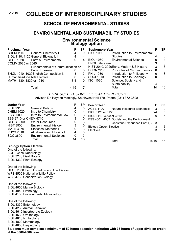# 9/12/19 **COLLEGE OF INTERDISCIPLINARY STUDIES**

# **SCHOOL OF ENVIRONMENTAL STUDIES**

# **ENVIRONMENTAL AND SUSTAINABILITY STUDIES**

#### **Environmental Science Biology option**

| <b>Freshman Year</b>          |                                          |           | SP | <b>Sophomore Year</b>  |                                         |          | SP       |
|-------------------------------|------------------------------------------|-----------|----|------------------------|-----------------------------------------|----------|----------|
| <b>CHEM 1110</b>              | <b>General Chemistry I</b>               | 4         |    | <b>BIOL 1050</b>       | Introduction to Environmental           |          |          |
|                               | BIOL 1110, 1120 General Biology I, II    | 4         |    |                        | <b>Studies</b>                          |          | $\Omega$ |
| <b>GEOL 1060</b>              | <b>Earth's Environments</b>              | 0         | 4  | <b>BIOL 1060</b>       | <b>Environmental Science</b>            |          | 4        |
| COMM 2025 or 2045             |                                          |           |    | <b>ENGL Literature</b> |                                         |          | $\Omega$ |
|                               | Fundamentals of Communication or         |           |    |                        | HIST 2010, 2020Early, Modern US History | 3        | 3        |
|                               | <b>Public Speaking</b>                   |           | 3  | <b>ECON 2200</b>       | Principles of Microeconomics            | $\Omega$ | -3       |
|                               | ENGL 1010, 1020English Composition I, II | 3         | 3  | <b>PHIL 1030</b>       | Introduction to Philosophy              | 0        | 3        |
| Humanities/Fine Arts Elective |                                          |           | 3  | <b>SOCI 1010</b>       | Introduction to Sociology               | 0        | 3        |
| MATH 1130, 1830 or 1910       |                                          | $3-4$     | 0  | <b>ISCI 1030</b>       | Science, Society and                    |          |          |
|                               |                                          |           |    |                        | Sustainability                          |          | 0        |
|                               | Total                                    | $14 - 15$ |    |                        | Total                                   | 14       | 16       |

#### *TENNESSEE TECHNOLOGICAL UNIVERSITY* Advisor: Dr. Hayden Mattingly, Southwest Hall 179, Phone (931) 372-3698

| <b>Junior Year</b>    |                                |    | <b>SP</b> | <b>Senior Year</b>                          |         | <b>SP</b> |
|-----------------------|--------------------------------|----|-----------|---------------------------------------------|---------|-----------|
| <b>BIOL 2310</b>      | <b>General Botany</b>          |    |           | AGBE 4120<br>Natural Resource Economics     | 3       | $\Omega$  |
| <b>CHEM 1020</b>      | Intro to Chemistry II          | 0  |           | BIOL 3120 or 3130                           | $3 - 4$ | $\Omega$  |
| <b>ESS 3000</b>       | Intro to Environmental Law     | 0  |           | BIOL 3140, 3200 or 3810                     |         | 4         |
| ESS 3710 or CHEM 4710 |                                |    |           | ESS 4001, 4002 Society and the Environment: |         |           |
| GEOG 3200             | <b>Water Resources</b>         |    |           | Capstone Experience Part 1, 2 3             |         | 3         |
| <b>HIST 3900</b>      | <b>Environmental History</b>   | 3  |           | <b>Biology Option Elective</b>              |         | 6         |
| MATH 3070             | <b>Statistical Methods I</b>   | 0  |           | <b>Electives</b>                            |         |           |
| <b>PHYS 2010</b>      | Algebra-based Physics I        | 4  |           |                                             |         |           |
| SOC 3600              | <b>Environmental Sociology</b> |    | 3         |                                             |         |           |
|                       | Total                          | 14 | 16        | Total                                       | 15-16   | 14        |

#### **Biology Option Elective**

One of the following: AGHT 3450 Dendrology BIOL 3240 Field Botany BIOL 4330 Plant Ecology

One of the following: GEOL 2000 Earth Evolution and Life History WFS 4500 National Wildlife Policy WFS 4730 Conservation Biology

One of the following: BIOL 4650 Marine Biology BIOL 4840 Limnology BIOL 4130 Environmental Microbiology

One of the following: BIOL 3330 Entomology BIOL 4230 Animal Behavior BIOL 4610 Invertebrate Zoology BIOL 4630 Ornithology BIOL 4810 Ichthyology BIOL 4820 Mammalogy BIOL 4830 Herpetology **Students must complete a minimum of 50 hours at senior institution with 36 hours of upper-division credit at the 3000-4000 level.**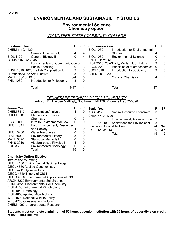# **ENVIRONMENTAL AND SUSTAINABILITY STUDIES**

#### **Environmental Science Chemistry option**

#### *VOLUNTEER STATE COMMUNITY COLLEGE*

| <b>Freshman Year</b>             |                                          |       | SP |                        | <b>Sophomore Year</b>                   |     |          |
|----------------------------------|------------------------------------------|-------|----|------------------------|-----------------------------------------|-----|----------|
| CHEM 1110, 1120                  |                                          |       |    | <b>BIOL 1050</b>       | Introduction to Environmental           |     |          |
|                                  | General Chemistry I, II                  | 4     | 4  |                        | <b>Studies</b>                          |     | $\Omega$ |
| <b>BIOL 1120</b>                 | General Biology II                       | 0     | 4  | <b>BIOL 1060</b>       | <b>Environmental Science</b>            |     | 4        |
| COMM 2025 or 2045                |                                          |       |    | <b>ENGL Literature</b> |                                         |     | 0        |
| Fundamentals of Communication or |                                          |       |    |                        | HIST 2010, 2020Early, Modern US History |     |          |
|                                  | <b>Public Speaking</b>                   | O     | 3  | <b>ECON 2200</b>       | Principles of Microeconomics            | - 0 | 3        |
|                                  | ENGL 1010, 1020English Composition I, II | 3     | 3  | <b>SOCI 1010</b>       | Introduction to Sociology               | 3   | $\Omega$ |
|                                  | Humanities/Fine Arts Elective            | 3     | 0  | CHEM 2010, 2020        |                                         |     |          |
| MATH 1830 or 1910                |                                          | 3-4   | 0  |                        | Organic Chemistry I, II                 |     |          |
| <b>PHIL 1030</b>                 | Introduction to Philosophy               | 3     | 0  |                        |                                         |     |          |
|                                  | Total                                    | 16-17 | 14 |                        | Total                                   |     | 14       |

#### *TENNESSEE TECHNOLOGICAL UNIVERSITY*

Advisor: Dr. Hayden Mattingly, Southwest Hall 179, Phone (931) 372-3698

| <b>Junior Year</b> |                                |    | <b>SP</b> | <b>Senior Year</b>                             |       | SP       |
|--------------------|--------------------------------|----|-----------|------------------------------------------------|-------|----------|
| <b>CHEM 3410</b>   | <b>Quantitative Analysis</b>   |    | 0         | <b>AGBE 4120</b><br>Natural Resource Economics | 3     | $\Omega$ |
| <b>CHEM 3500</b>   | <b>Elements of Physical</b>    |    |           | CHEM 4710, 4720                                |       |          |
|                    | Chemistry                      |    | 3         | Environmental, Advanced Chem 3                 |       | 3        |
| <b>ESS 3000</b>    | Intro to Environmental Law     | 0  | 0         | ESS 4001, 4002 Society and the Environment     | 3     | -3       |
| <b>GEOL 1045</b>   | Earth Environment, Resources   |    |           | Chemistry Option (Elective)                    | $3-4$ | $3 - 4$  |
|                    | and Society                    |    | 0         | BIOL 3120 or 3130                              |       | $3 - 4$  |
| <b>GEOL 3200</b>   | <b>Water Resources</b>         | 0  | 3         | Total                                          | 15    | 15       |
| <b>HIST 3900</b>   | <b>Environmental History</b>   | 3  |           |                                                |       |          |
| <b>MATH 3070</b>   | <b>Statistical Methods I</b>   |    | 3         |                                                |       |          |
| <b>PHYS 2010</b>   | Algebra-based Physics I        |    | 0         |                                                |       |          |
| SOC 3600           | <b>Environmental Sociology</b> |    | 3         |                                                |       |          |
|                    | Total                          | 15 | 15        |                                                |       |          |

#### **Chemistry Option Elective Two of the following:**

GEOL 4100 Environmental Sedimentology GEOL 4650 Applied Geochemistry GEOL 4711 Hydrogeology GEOG 4510 Theory of GIS I GEOG 4650 Environmental Applications of GIS ARGN 3230 Environmental Soil Science AGRN 4220 Environmental Soil Chemistry BIOL 4130 Enironmental Microbiology BIOL 4840 Limnology BIOL 4850 Applied Microbiology WFS 4500 National Wildlife Policy WFS 4730 Conservation Biology CHEM 4992 Undergraduate Research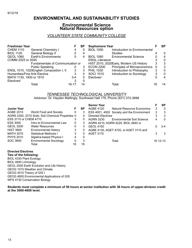# **ENVIRONMENTAL AND SUSTAINABILITY STUDIES**

#### **Environmental Science Natural Resources option**

#### *VOLUNTEER STATE COMMUNITY COLLEGE*

| <b>Freshman Year</b>          |                                          |       | SP | <b>Sophomore Year</b>  |                                         |          | SP       |
|-------------------------------|------------------------------------------|-------|----|------------------------|-----------------------------------------|----------|----------|
| <b>CHEM 1110</b>              | <b>General Chemistry I</b>               | 4     | 0  | <b>BIOL 1050</b>       | Introduction to Environmental           |          |          |
| <b>BIOL 1120</b>              | General Biology II                       |       | 4  |                        | <b>Studies</b>                          |          | $\Omega$ |
| <b>GEOL 1060</b>              | <b>Earth's Environments</b>              | 0     | 4  | <b>BIOL 1060</b>       | <b>Environmental Science</b>            |          | 4        |
| COMM 2025 or 2045             |                                          |       |    | <b>ENGL Literature</b> |                                         |          | 0        |
|                               | Fundamentals of Communication or         |       |    |                        | HIST 2010, 2020Early, Modern US History | 3        | 3        |
|                               | <b>Public Speaking</b>                   |       | 3  | <b>ECON 2200</b>       | Principles of Microeconomics            | $\Omega$ | 3        |
|                               | ENGL 1010, 1020English Composition I, II | 3     | 3  | <b>PHIL 1030</b>       | Introduction to Philosophy              | 3        | $\Omega$ |
| Humanities/Fine Arts Elective |                                          | 3     | 0  | SOCI 1010              | Introduction to Sociology               | 3        | 0        |
| MATH 1130, 1830 or 1910       |                                          | $3-4$ | 0  | Electives <sup>2</sup> |                                         |          | 4        |
| Electives <sup>2</sup>        |                                          |       |    |                        |                                         |          |          |
|                               | Total                                    | 16-17 | 14 |                        | Total                                   | 16       | 14       |

#### *TENNESSEE TECHNOLOGICAL UNIVERSITY* AAdvisor: Dr. Hayden Mattingly, Southwest Hall 179, Phone (931) 372-3698

|                       |                                                   |    |    | <b>Senior Year</b>        |                                            |   | SP       |
|-----------------------|---------------------------------------------------|----|----|---------------------------|--------------------------------------------|---|----------|
| <b>Junior Year</b>    |                                                   |    | SP | AGBE 4120                 | Natural Resource Economics                 | 3 | 0        |
| AGBE 2010             | World Food and Society                            | 0  | 3  |                           | ESS 4001, 4002 Society and the Environment | 3 | 3        |
|                       | AGRN 2300, 2310 Soils, Soil Chemical Properties 0 |    | 4  | <b>Directed Electives</b> |                                            | 3 | 3        |
| ESS 3710 or CHEM 4710 |                                                   | 3  | 0  | <b>AGRN 3230</b>          | <b>Environmental Soil Science</b>          | 4 | $\Omega$ |
| ESS 3000              | Intro to Environmental Law                        | 0  | 3  |                           | AGRN 4210, AGRN 4220, BIOL 4840 or         |   |          |
| <b>GEOL 3200</b>      | <b>Water Resources</b>                            | 0  | 3  | <b>GEOL 4150</b>          |                                            |   | $3-4$    |
| <b>HIST 3900</b>      | <b>Environmental History</b>                      | 3  | 0  |                           | AGBE 4130, AGET 4720, or AGET 3110 and     |   |          |
| <b>MATH 3070</b>      | Statistical Methods I                             | 3  | 0  | <b>AGET 3115</b>          |                                            |   | -3       |
| <b>PHYS 2010</b>      | Algebra-based Physics I                           | 4  | 0  |                           |                                            |   |          |
| SOC 3600              | <b>Environmental Sociology</b>                    | 0  | 3  |                           | Total                                      |   | 16 12-13 |
|                       | Total                                             | 16 | 16 |                           |                                            |   |          |

**Directed Electives Two of the following:** BIOL 4330 Plant Ecology BIOL 4840 Limnology GEOL 2000 Earth Evolution and Life History GEOG 1010 Weather and Climate GEOG 4510 Theory of GIS I GEOG 4650 Environmental Applications of GIS WFS 4730 Conservation Biology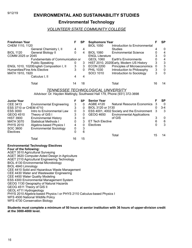# 9/12/19 **ENVIRONMENTAL AND SUSTAINABILITY STUDIES**

# **Environmental Technology**

#### *VOLUNTEER STATE COMMUNITY COLLEGE*

| Freshman Year                 |                                                                                            | F           | SP                        | <b>Sophomore Year</b>                                                    | F                         | <b>SP</b>        |  |  |
|-------------------------------|--------------------------------------------------------------------------------------------|-------------|---------------------------|--------------------------------------------------------------------------|---------------------------|------------------|--|--|
| CHEM 1110, 1120               |                                                                                            |             |                           | <b>BIOL 1050</b><br>Introduction to Environmental                        |                           |                  |  |  |
|                               | General Chemistry I, II                                                                    | 4           | 4                         | Studies                                                                  | 4                         | 0                |  |  |
| <b>BIOL 1120</b>              | General Biology II                                                                         | 0           | $\overline{4}$            | <b>BIOL 1060</b><br><b>Environmental Science</b>                         | $\boldsymbol{0}$          | 4                |  |  |
| COMM 2025 or 2045             |                                                                                            |             |                           | <b>ENGL Literature</b>                                                   | 3                         | $\pmb{0}$        |  |  |
|                               | Fundamentals of Communication or                                                           |             |                           | <b>GEOL 1060</b><br>Earth's Environments                                 | $\mathbf 0$               | 4                |  |  |
|                               | <b>Public Speaking</b>                                                                     | 0           | $\ensuremath{\mathsf{3}}$ | HIST 2010, 2020Early, Modern US History                                  | $\mathsf 3$               | $\mathbf{3}$     |  |  |
|                               | ENGL 1010, 1020English Composition I, II                                                   | 3           | 3                         | <b>ECON 2200</b><br>Principles of Microeconomics                         | $\pmb{0}$                 | $\mathsf 3$      |  |  |
| Humanities/Fine Arts Elective |                                                                                            | 3           | $\Omega$                  | <b>PHIL 1030</b><br>Introduction to Philosophy                           | $\mathsf 3$<br>3          | $\pmb{0}$        |  |  |
| MATH 1910, 1920               | Calculus I, II                                                                             | 4           | $\overline{\mathbf{4}}$   | SOCI 1010<br>Introduction to Sociology                                   |                           | 0                |  |  |
|                               |                                                                                            |             |                           |                                                                          |                           |                  |  |  |
|                               | Total                                                                                      | 14          | 18                        | Total                                                                    | 16                        | 14               |  |  |
|                               |                                                                                            |             |                           | <b>TENNESSEE TECHNOLOGICAL UNIVERSITY</b>                                |                           |                  |  |  |
|                               |                                                                                            |             |                           | AAdvisor: Dr. Hayden Mattingly, Southwest Hall 179, Phone (931) 372-3698 |                           |                  |  |  |
| <b>Junior Year</b>            |                                                                                            | F           | <b>SP</b>                 | <b>Senior Year</b>                                                       | F                         | SP               |  |  |
| <b>CEE 3413</b>               | <b>Environmental Engineering</b>                                                           | 3           | 0                         | <b>AGBE 4120</b><br><b>Natural Resource Economics</b>                    | 3                         | $\mathbf 0$      |  |  |
| ESS 3710 or CHEM 4710         |                                                                                            | 3           | 0                         | BIOL 3120 or 3130                                                        | 0                         | $3 - 4$          |  |  |
| <b>ESS 3000</b>               | Intro to Environmental Law                                                                 | $\pmb{0}$   | 3                         | ESS 4001, 4002 Society and the Environment                               | $\mathbf{3}$              | 3                |  |  |
| GEOG 4510                     | Theory of GIS I                                                                            | 3           | $\boldsymbol{0}$          | <b>GEOG 4650</b><br><b>Environmental Applications</b>                    |                           |                  |  |  |
| <b>HIST 3900</b>              | <b>Environmental History</b>                                                               | 3           | $\pmb{0}$                 | of GIS                                                                   | $\ensuremath{\mathsf{3}}$ | $\boldsymbol{0}$ |  |  |
| <b>MATH 3070</b>              | <b>Statistical Methods I</b>                                                               | $\mathbf 0$ | $\mathbf{3}$              | <b>ET Tech Elective</b>                                                  | 6                         | 6                |  |  |
| <b>PHYS 2010</b>              | Algebra-based Physics I                                                                    | 4           | $\pmb{0}$                 | Electives                                                                | 0                         | 3                |  |  |
| SOC 3600                      | <b>Environmental Sociology</b>                                                             | 0           | $\mathsf 3$               |                                                                          |                           |                  |  |  |
| Electives                     |                                                                                            | 0           | 6                         | Total                                                                    | 15                        | 14               |  |  |
|                               | Total                                                                                      | 16          | 15                        |                                                                          |                           |                  |  |  |
|                               | <b>Environmental Technology Electives</b>                                                  |             |                           |                                                                          |                           |                  |  |  |
| Four of the following:        |                                                                                            |             |                           |                                                                          |                           |                  |  |  |
|                               | <b>AGET 3510 Agricultural Surveying</b>                                                    |             |                           |                                                                          |                           |                  |  |  |
|                               | AGET 3620 Computer-Aided Design in Agriculture                                             |             |                           |                                                                          |                           |                  |  |  |
|                               | AGET 2110 Agricultural Engineering Technology                                              |             |                           |                                                                          |                           |                  |  |  |
|                               | <b>BIOL 4130 Environmental Microbiology</b>                                                |             |                           |                                                                          |                           |                  |  |  |
| BIOL 4840 Limnology           |                                                                                            |             |                           |                                                                          |                           |                  |  |  |
|                               | CEE 4410 Solid and Hazardous Waste Management<br>CEE 4430 Water and Wastewater Engineering |             |                           |                                                                          |                           |                  |  |  |
|                               | CEE 4450 Water Quality Modeling                                                            |             |                           |                                                                          |                           |                  |  |  |
|                               | ESS 4300 Environmental Management System                                                   |             |                           |                                                                          |                           |                  |  |  |
|                               | GEOG 1130 Geography of Natural Hazards                                                     |             |                           |                                                                          |                           |                  |  |  |
| GEOG 4511 Theory of GIS II    |                                                                                            |             |                           |                                                                          |                           |                  |  |  |
| GEOL 4711 Hydrogeology        |                                                                                            |             |                           |                                                                          |                           |                  |  |  |
|                               | PHYS 2010 Algebra-based Physics I or PHYS 2110 Calculus-based Physics I                    |             |                           |                                                                          |                           |                  |  |  |
|                               | WFS 4500 National Wildlife Policy                                                          |             |                           |                                                                          |                           |                  |  |  |
|                               | WFS 4730 Conservation Biology                                                              |             |                           |                                                                          |                           |                  |  |  |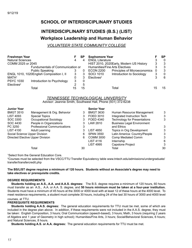# **SCHOOL OF INTERDISCIPLINARY STUDIES**

# **INTERDISCIPLINARY STUDIES (B.S.) (LIST) Workplace Leadership and Human Behavior**

#### *VOLUNTEER STATE COMMUNITY COLLEGE*

| <b>Freshman Year</b>             |                                           |    | SP | <b>Sophomore Year</b>                    |                                     |     | SP |
|----------------------------------|-------------------------------------------|----|----|------------------------------------------|-------------------------------------|-----|----|
| <b>Natural Sciences</b>          |                                           |    |    | <b>ENGL Literature</b>                   |                                     |     | 0  |
| COMM 2025 or 2045                |                                           |    |    | HIST 2010, 2020 Early, Modern US History |                                     | 3   | 3  |
| Fundumentals of Communication or |                                           |    |    | Humanities/Fine Arts Electives           |                                     | 3   | 3  |
|                                  | <b>Public Speaking</b>                    |    | 0  | <b>ECON 2200</b>                         | <b>Principles of Microeconomics</b> | - 0 | 3  |
|                                  | ENGL 1010, 1020 English Composition I, II | 3  | 3  | <b>SOCI 1010</b>                         | Introduction to Sociology           | 3   | 0  |
| MATH <sup>1</sup>                |                                           |    |    | Electives <sup>2</sup>                   |                                     |     | 6  |
| <b>PSYC 1030</b>                 | Introduction to Psychology                | 3  | 0  |                                          |                                     |     |    |
| Electives <sup>2</sup>           |                                           | ົ  | 5  |                                          |                                     |     |    |
|                                  | Total                                     | 15 | 15 | Total                                    |                                     |     | 15 |

## *TENNESSEE TECHNOLOGICAL UNIVERSITY*

Advisor: Jeannie Smith, Southwest Hall, Phone (931) 372-6238

| <b>Junior Year</b>            |                                    |    | <b>Senior Year</b> |                                     |    |
|-------------------------------|------------------------------------|----|--------------------|-------------------------------------|----|
| <b>BMGT 3510</b>              | Management & Org. Behavior         | 3  | <b>BMGT 3630</b>   | Human Resource Management           | 3  |
| <b>LIST 4093</b>              | <b>Special Topics</b>              | 3  | FOED 3010          | Integrated Instruction Tech         | 3  |
| SOC 3300                      | Occupational Sociology             | 3  | FOED 4340          | <b>Technology for Presentations</b> | 3  |
| SOC 4430                      | People in Organizations            |    | LAW 2810           | <b>Business Legal Environment</b>   |    |
| PC 3250                       | <b>Professional Communications</b> | 3  |                    | and Ethics                          | 3  |
| <b>LIST 4100</b>              | Adult Learning                     |    | <b>LIST 4850</b>   | Topics in Org Development           | 3  |
| Social Science Upper Division |                                    | 6  | <b>SPAN 3550</b>   | Latin America: Country/People       | 3  |
|                               | Directed Elective Upper Division   | 6  | <b>COMM 3000</b>   | Comp Mediated Comm                  | 3  |
|                               |                                    |    | <b>LIST 4116</b>   | Internship                          | 6  |
|                               |                                    |    | <b>LIST 4995</b>   | Capstone Project                    | 3  |
|                               | Total                              | 30 |                    | Total                               | 30 |

<sup>1</sup>Select from the General Education Core.

<sup>2</sup>Courses must be selected from the VSCC/TTU Transfer Equivalency table www.tntech.edu/admissions/undergraduate/ transfer/transfercredit.php

#### **The BS/LIST degree requires a minimum of 120 hours. Students without an Associate's degree may need to take electives or prerequisite credits.**

#### **DEGREE REQUIREMENTS**

 **Students holding an A.S., A.A. and A.A.S. degrees:** The B.S. degree requires a minimum of 120 hours, 60 hours must transfer as an A.S., A.A. or A.A. S. degree, and **50 hours minimum must be taken at a four-year institution.** Students must have a minimum of 45 hours at the 3000 or 4000 level with at least 12 of these hours at the 4000 level. To meet residence requirements, a student must complete 30 hours, including 24 of the last 30 hours of 3000 and 4000 level

#### courses, at TTU.

#### **PREREQUISITE REQUIREMENTS**

 **Students holding A.A.S. degrees:** The general education requirements for TTU must be met, some of which are included in the degree plan above. In addition, if these requirements were not included in the A.A.S. degree, they must be taken: English Composition, 3 hours; Oral Communication (speech-based), 3 hours; Math, 3 hours (requiring 2 years of Algebra and 1 year of Geometry in high school); Humanities/Fine Arts, 3 hours; Social/Behavioral Sciences, 6 hours; and Natural Sciences, 8 hours.

**Students holding A.S. or A.A. degrees:** The general education requirements for TTU must be met.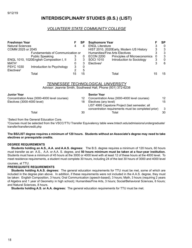# **INTERDISCIPLINARY STUDIES (B.S.) (LIST)**

#### *VOLUNTEER STATE COMMUNITY COLLEGE*

| <b>Freshman Year</b>             |                                          |    | <b>SP</b> | <b>Sophomore Year</b>          |                                         |    | SP           |
|----------------------------------|------------------------------------------|----|-----------|--------------------------------|-----------------------------------------|----|--------------|
| <b>Natural Sciences</b>          |                                          | 4  | 4         | <b>ENGL Literature</b>         |                                         | З  | 0            |
| COMM 2025 or 2045                |                                          |    |           |                                | HIST 2010, 2020Early, Modern US History | 3  | 3            |
| Fundamentals of Communication or |                                          |    |           | Humanities/Fine Arts Electives |                                         | 3  | 3            |
|                                  | <b>Public Speaking</b>                   |    | 0         | <b>ECON 2200</b>               | <b>Principles of Microeconomics</b>     | 0  | 3            |
|                                  | ENGL 1010, 1020English Composition I, II | 3  |           | <b>SOCI 1010</b>               | Introduction to Sociology               | 3  | $\mathbf{0}$ |
| MATH <sup>1</sup>                |                                          |    |           | Electives <sup>2</sup>         |                                         | 3  | 6            |
| <b>PSYC 1030</b>                 | Introduction to Psychology               | 3  | 0         |                                |                                         |    |              |
| Electives <sup>2</sup>           |                                          | ົ  | 5         |                                |                                         |    |              |
|                                  | Total                                    | 15 | 15        |                                | Total                                   | 15 | 15           |

#### *TENNESSEE TECHNOLOGICAL UNIVERSITY*

Advisor: Jeannie Smith, Southwest Hall, Phone (931) 372-6238

#### **Junior Year**

| Julijor Tear                                 |    | <b>Senior</b> rear                                  |    |
|----------------------------------------------|----|-----------------------------------------------------|----|
| Concentration Area (3000-4000 level courses) |    | Concentration Area (3000-4000 level courses)        | 12 |
| Electives (3000-4000 level)                  | 18 | Electives (any level)                               | 15 |
|                                              |    | LIST 4995 Capstone Project (last semester; all      |    |
|                                              |    | concentration requirements must be completed prior) | 3  |
| Total                                        | 30 | Total                                               | 30 |
|                                              |    |                                                     |    |

**Senior Year** 

<sup>1</sup>Select from the General Education Core.

<sup>2</sup>Courses must be selected from the VSCC/TTU Transfer Equivalency table www.tntech.edu/admissions/undergraduate/ transfer/transfercredit.php

#### **The BS/LIST degree requires a minimum of 120 hours. Students without an Associate's degree may need to take electives or prerequisite credits.**

#### **DEGREE REQUIREMENTS**

 **Students holding an A.S., A.A. and A.A.S. degrees:** The B.S. degree requires a minimum of 120 hours, 60 hours must transfer as an A.S., A.A. or A.A. S. degree, and **50 hours minimum must be taken at a four-year institution.** Students must have a minimum of 45 hours at the 3000 or 4000 level with at least 12 of these hours at the 4000 level. To meet residence requirements, a student must complete 30 hours, including 24 of the last 30 hours of 3000 and 4000 level

#### courses, at TTU.

#### **PREREQUISITE REQUIREMENTS**

 **Students holding A.A.S. degrees:** The general education requirements for TTU must be met, some of which are included in the degree plan above. In addition, if these requirements were not included in the A.A.S. degree, they must be taken: English Composition, 3 hours; Oral Communication (speech-based), 3 hours; Math, 3 hours (requiring 2 years of Algebra and 1 year of Geometry in high school); Humanities/Fine Arts, 3 hours; Social/Behavioral Sciences, 6 hours; and Natural Sciences, 8 hours.

**Students holding A.S. or A.A. degrees:** The general education requirements for TTU must be met.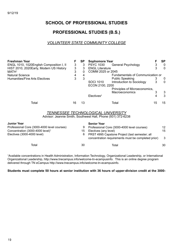# **SCHOOL OF PROFESSIONAL STUDIES**

# **PROFESSIONAL STUDIES (B.S.)**

## *VOLUNTEER STATE COMMUNITY COLLEGE*

| <b>Freshman Year</b>                                                                                      |    | <b>SP</b> | <b>Sophomore Year</b>                                                                                 | F           | SP          |  |  |  |  |
|-----------------------------------------------------------------------------------------------------------|----|-----------|-------------------------------------------------------------------------------------------------------|-------------|-------------|--|--|--|--|
| ENGL 1010, 1020English Composition I, II                                                                  |    | 3         | <b>PSYC 1030</b><br>General Psychology                                                                | $\mathsf 3$ | $\mathbf 0$ |  |  |  |  |
| HIST 2010, 2020 Early, Modern US History                                                                  | 3  | 3         | <b>ENGL Literature</b>                                                                                | 3           | $\Omega$    |  |  |  |  |
| MATH <sup>1</sup>                                                                                         | 3  | 0         | COMM 2025 or 2045                                                                                     |             |             |  |  |  |  |
| <b>Natural Science</b>                                                                                    | 4  | 4         | Fundamentals of Communication or                                                                      |             |             |  |  |  |  |
| Humanities/Fine Arts Electives                                                                            | 3  | 3         | <b>Public Speaking</b>                                                                                | 3           | 0           |  |  |  |  |
|                                                                                                           |    |           | SOCI 1010<br>Introduction to Sociology                                                                | 3           | $\Omega$    |  |  |  |  |
|                                                                                                           |    |           | ECON 2100, 2200                                                                                       |             |             |  |  |  |  |
|                                                                                                           |    |           | Principles of Microeconomics,                                                                         |             |             |  |  |  |  |
|                                                                                                           |    |           | <b>Macroeconomics</b>                                                                                 | 3           | 3           |  |  |  |  |
|                                                                                                           |    |           | Electives <sup>2</sup>                                                                                | 4           | 3           |  |  |  |  |
|                                                                                                           |    |           |                                                                                                       |             |             |  |  |  |  |
| Total                                                                                                     | 16 | 13        | Total                                                                                                 | 15          | 15          |  |  |  |  |
| <i>TENNESSEE TECHNOLOGICAL UNIVERSITY</i><br>Advisor: Jeannie Smith, Southwest Hall, Phone (931) 372-6238 |    |           |                                                                                                       |             |             |  |  |  |  |
| <b>Junior Year</b>                                                                                        |    |           | <b>Senior Year</b>                                                                                    |             |             |  |  |  |  |
| Professional Core (3000-4000 level courses)                                                               |    | 9         | Professional Core (3000-4000 level courses)                                                           |             | 12          |  |  |  |  |
| Concentration (3000-4000 level) <sup>1</sup>                                                              |    | 15        | Electives (any level)                                                                                 |             | 15          |  |  |  |  |
| Electives (3000-4000 level)                                                                               |    | 6         |                                                                                                       |             |             |  |  |  |  |
|                                                                                                           |    |           | PRST 4995 Capstone Project (last semester; all<br>concentration requirements must be completed prior) |             | 3           |  |  |  |  |
|                                                                                                           |    |           |                                                                                                       |             |             |  |  |  |  |
| Total                                                                                                     |    | 30        | Total                                                                                                 |             | 30          |  |  |  |  |

<sup>1</sup>Available concentrations in Health Administration, Information Technology, Organizational Leadership, or International Organizational Leadership, http://www.tnecampus.info/welcome-tn-ecampusinfo. This is an online degree program delivered through TN eCampus http://www.tnecampus.info/welcome-tn-ecampusinfo.